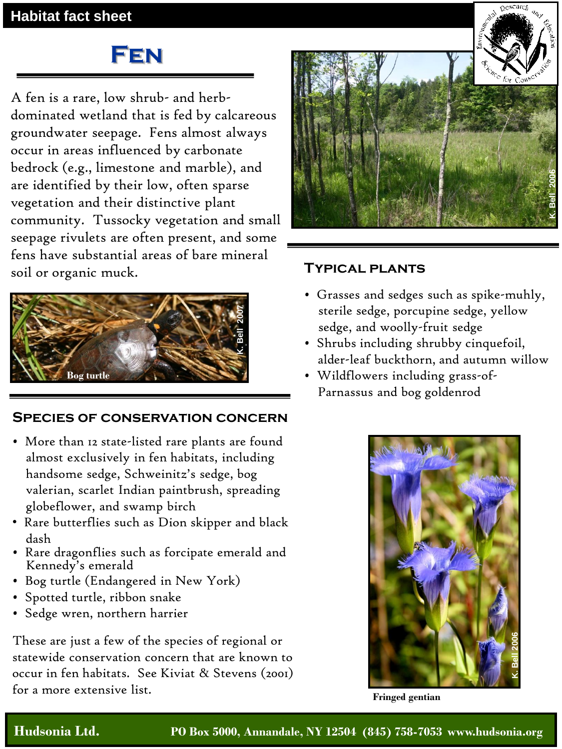### **Habitat fact sheet**

# **Fen**

A fen is a rare, low shrub- and herbdominated wetland that is fed by calcareous groundwater seepage. Fens almost always occur in areas influenced by carbonate bedrock (e.g., limestone and marble), and are identified by their low, often sparse vegetation and their distinctive plant community. Tussocky vegetation and small seepage rivulets are often present, and some fens have substantial areas of bare mineral soil or organic muck. **Typical plants**



### **Species of conservation concern**

- More than 12 state-listed rare plants are found almost exclusively in fen habitats, including handsome sedge, Schweinitz's sedge, bog valerian, scarlet Indian paintbrush, spreading globeflower, and swamp birch
- Rare butterflies such as Dion skipper and black dash
- Rare dragonflies such as forcipate emerald and Kennedy's emerald
- Bog turtle (Endangered in New York)
- Spotted turtle, ribbon snake
- Sedge wren, northern harrier

These are just a few of the species of regional or statewide conservation concern that are known to occur in fen habitats. See Kiviat & Stevens (2001) for a more extensive list.



- Grasses and sedges such as spike-muhly, sterile sedge, porcupine sedge, yellow sedge, and woolly-fruit sedge
- Shrubs including shrubby cinquefoil, alder-leaf buckthorn, and autumn willow
- Wildflowers including grass-of- Parnassus and bog goldenrod



**Fringed gentian**